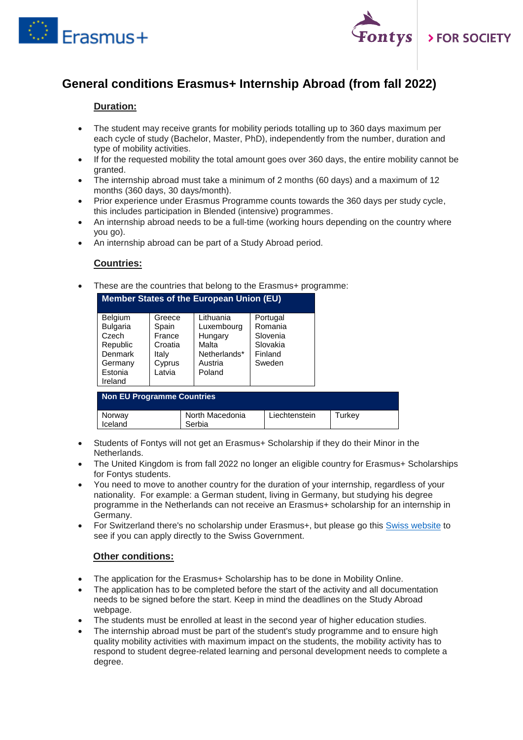



# **General conditions Erasmus+ Internship Abroad (from fall 2022)**

### **Duration:**

- The student may receive grants for mobility periods totalling up to 360 days maximum per each cycle of study (Bachelor, Master, PhD), independently from the number, duration and type of mobility activities.
- If for the requested mobility the total amount goes over 360 days, the entire mobility cannot be granted.
- The internship abroad must take a minimum of 2 months (60 days) and a maximum of 12 months (360 days, 30 days/month).
- Prior experience under Erasmus Programme counts towards the 360 days per study cycle, this includes participation in Blended (intensive) programmes.
- An internship abroad needs to be a full-time (working hours depending on the country where you go).
- An internship abroad can be part of a Study Abroad period.

#### **Countries:**

These are the countries that belong to the Erasmus+ programme:

| <b>Member States of the European Union (EU)</b>                                                    |                                                                   |                                                                                  |                                                                  |  |  |  |  |
|----------------------------------------------------------------------------------------------------|-------------------------------------------------------------------|----------------------------------------------------------------------------------|------------------------------------------------------------------|--|--|--|--|
| <b>Belgium</b><br><b>Bulgaria</b><br>Czech<br>Republic<br>Denmark<br>Germany<br>Estonia<br>Ireland | Greece<br>Spain<br>France<br>Croatia<br>Italy<br>Cyprus<br>Latvia | Lithuania<br>Luxembourg<br>Hungary<br>Malta<br>Netherlands*<br>Austria<br>Poland | Portugal<br>Romania<br>Slovenia<br>Slovakia<br>Finland<br>Sweden |  |  |  |  |

| Non EU Programme Countries |                           |               |        |  |  |  |
|----------------------------|---------------------------|---------------|--------|--|--|--|
| Norway<br>Iceland          | North Macedonia<br>Serbia | Liechtenstein | Turkev |  |  |  |

- Students of Fontys will not get an Erasmus+ Scholarship if they do their Minor in the Netherlands.
- The United Kingdom is from fall 2022 no longer an eligible country for Erasmus+ Scholarships for Fontys students.
- You need to move to another country for the duration of your internship, regardless of your nationality. For example: a German student, living in Germany, but studying his degree programme in the Netherlands can not receive an Erasmus+ scholarship for an internship in Germany.
- For Switzerland there's no scholarship under Erasmus+, but please go this [Swiss website](https://www.movetia.ch/en/programmes/swiss-programme-for-erasmus/higher-education/mobility/) to see if you can apply directly to the Swiss Government.

#### **Other conditions:**

- The application for the Erasmus+ Scholarship has to be done in Mobility Online.
- The application has to be completed before the start of the activity and all documentation needs to be signed before the start. Keep in mind the deadlines on the Study Abroad webpage.
- The students must be enrolled at least in the second year of higher education studies.
- The internship abroad must be part of the student's study programme and to ensure high quality mobility activities with maximum impact on the students, the mobility activity has to respond to student degree-related learning and personal development needs to complete a degree.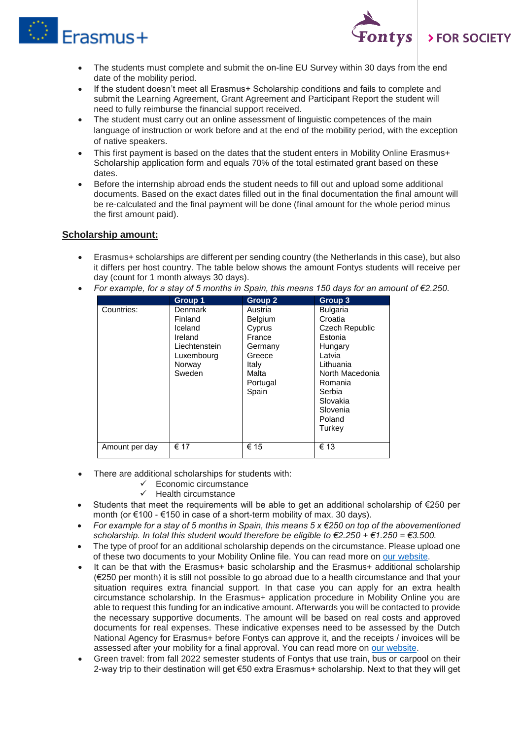



- The students must complete and submit the on-line EU Survey within 30 days from the end date of the mobility period.
- If the student doesn't meet all Erasmus+ Scholarship conditions and fails to complete and submit the Learning Agreement, Grant Agreement and Participant Report the student will need to fully reimburse the financial support received.
- The student must carry out an online assessment of linguistic competences of the main language of instruction or work before and at the end of the mobility period, with the exception of native speakers.
- This first payment is based on the dates that the student enters in Mobility Online Erasmus+ Scholarship application form and equals 70% of the total estimated grant based on these dates.
- Before the internship abroad ends the student needs to fill out and upload some additional documents. Based on the exact dates filled out in the final documentation the final amount will be re-calculated and the final payment will be done (final amount for the whole period minus the first amount paid).

## **Scholarship amount:**

- Erasmus+ scholarships are different per sending country (the Netherlands in this case), but also it differs per host country. The table below shows the amount Fontys students will receive per day (count for 1 month always 30 days).
- *For example, for a stay of 5 months in Spain, this means 150 days for an amount of €2.250.*

|                | Group 1       | <b>Group 2</b> | Group 3         |
|----------------|---------------|----------------|-----------------|
| Countries:     | Denmark       | Austria        | <b>Bulgaria</b> |
|                | Finland       | <b>Belgium</b> | Croatia         |
|                | Iceland       | Cyprus         | Czech Republic  |
|                | Ireland       | France         | Estonia         |
|                | Liechtenstein | Germany        | Hungary         |
|                | Luxembourg    | Greece         | Latvia          |
|                | Norway        | Italy          | Lithuania       |
|                | Sweden        | Malta          | North Macedonia |
|                |               | Portugal       | Romania         |
|                |               | Spain          | Serbia          |
|                |               |                | Slovakia        |
|                |               |                | Slovenia        |
|                |               |                | Poland          |
|                |               |                | Turkey          |
|                |               |                |                 |
| Amount per day | € 17          | € 15           | € 13            |

- There are additional scholarships for students with:
	- $\checkmark$  Economic circumstance
	- Health circumstance
- Students that meet the requirements will be able to get an additional scholarship of €250 per month (or €100 - €150 in case of a short-term mobility of max. 30 days).
- *For example for a stay of 5 months in Spain, this means 5 x €250 on top of the abovementioned scholarship. In total this student would therefore be eligible to €2.250 + €1.250 = €3.500.*
- The type of proof for an additional scholarship depends on the circumstance. Please upload one of these two documents to your Mobility Online file. You can read more on [our website.](https://fontys.edu/Fontys-Study-Abroad/Scholarships-23/Erasmus-Scholarships.htm)
- It can be that with the Erasmus+ basic scholarship and the Erasmus+ additional scholarship (€250 per month) it is still not possible to go abroad due to a health circumstance and that your situation requires extra financial support. In that case you can apply for an extra health circumstance scholarship. In the Erasmus+ application procedure in Mobility Online you are able to request this funding for an indicative amount. Afterwards you will be contacted to provide the necessary supportive documents. The amount will be based on real costs and approved documents for real expenses. These indicative expenses need to be assessed by the Dutch National Agency for Erasmus+ before Fontys can approve it, and the receipts / invoices will be assessed after your mobility for a final approval. You can read more on [our website.](https://fontys.edu/Fontys-Study-Abroad/Scholarships-23/Erasmus-Scholarships.htm)
- Green travel: from fall 2022 semester students of Fontys that use train, bus or carpool on their 2-way trip to their destination will get €50 extra Erasmus+ scholarship. Next to that they will get